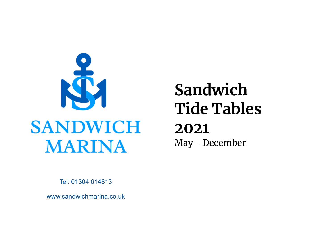

# **Sandwich Tide Tables 2021** May - December

Tel: 01304 614813

www.sandwichmarina.co.uk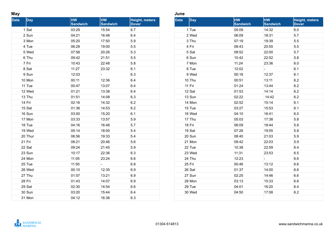#### **May**

| <b>Date</b> | <b>Day</b> | <b>HW</b><br><b>Sandwich</b> | <b>HW</b><br><b>Sandwich</b> | <b>Height, meters</b><br><b>Dover</b> |
|-------------|------------|------------------------------|------------------------------|---------------------------------------|
|             | 1 Sat      | 03:29                        | 15:54                        | 6.7                                   |
|             | 2 Sun      | 04:21                        | 16:48                        | 6.4                                   |
|             | 3 Mon      | 05:20                        | 17:50                        | 5.9                                   |
|             | 4 Tue      | 06:29                        | 19:00                        | 5.5                                   |
|             | 5 Wed      | 07:58                        | 20:26                        | 5.3                                   |
|             | 6 Thu      | 09:42                        | 21:51                        | 5.5                                   |
|             | 7 Fri      | 10:43                        | 22:48                        | 5.8                                   |
|             | 8 Sat      | 11:27                        | 23:32                        | 6.1                                   |
|             | 9 Sun      | 12:03                        | $\overline{\phantom{a}}$     | 6.3                                   |
|             | 10 Mon     | 00:11                        | 12:36                        | 6.4                                   |
|             | 11 Tue     | 00:47                        | 13:07                        | 6.4                                   |
|             | 12 Wed     | 01:21                        | 13:38                        | 6.4                                   |
|             | $13$ Thu   | 01:51                        | 14:08                        | 6.3                                   |
|             | 14 Fri     | 02:16                        | 14:32                        | 6.2                                   |
|             | 15 Sat     | 01:36                        | 14:53                        | 6.2                                   |
|             | 16 Sun     | 03:00                        | 15:20                        | 6.1                                   |
|             | 17 Mon     | 03:33                        | 13:57                        | 5.9                                   |
|             | 18 Tue     | 04:16                        | 16:48                        | 5.7                                   |
|             | 19 Wed     | 05:14                        | 18:00                        | 5.4                                   |
|             | 20 Thur    | 06:56                        | 19:33                        | 5.4                                   |
|             | 21 Fri     | 08:21                        | 20:46                        | 5.6                                   |
|             | 22 Sat     | 09:24                        | 21:45                        | 5.9                                   |
|             | 23 Sun     | 10:17                        | 22:36                        | 6.3                                   |
|             | 24 Mon     | 11:05                        | 23:24                        | 6.6                                   |
|             | 25 Tue     | 11:50                        | $\overline{\phantom{0}}$     | 6.8                                   |
|             | 26 Wed     | 00:10                        | 12:35                        | 6.9                                   |
|             | 27 Thu     | 01:57                        | 13:21                        | 6.9                                   |
|             | 28 Fri     | 01:43                        | 14:07                        | 6.9                                   |
|             | 29 Sat     | 02:30                        | 14:54                        | 6.6                                   |
|             | 30 Sun     | 03:20                        | 15:44                        | 6.4                                   |
|             | 31 Mon     | 04:12                        | 16:36                        | 6.3                                   |

## **June**

| Date     | <b>Day</b> | <b>HW</b><br><b>Sandwich</b> | <b>HW</b><br><b>Sandwich</b> | <b>Height, meters</b><br><b>Dover</b> |
|----------|------------|------------------------------|------------------------------|---------------------------------------|
|          | 1 Tue      | 05:09                        | 14:32                        | 6.0                                   |
|          | 2 Wed      | 06:09                        | 18:31                        | 5.7                                   |
|          | 3 Thu      | 07:19                        | 19:39                        | 5.5                                   |
|          | 4 Fri      | 08:43                        | 20:55                        | 5.5                                   |
|          | 5 Sat      | 09:52                        | 22:00                        | 5.7                                   |
|          | 6 Sun      | 10:42                        | 22:52                        | 5.8                                   |
|          | 7 Mon      | 11:24                        | 23:36                        | 6.0                                   |
|          | 8 Tue      | 12:02                        |                              | 6.1                                   |
|          | 9 Wed      | 00:16                        | 12:37                        | 6.1                                   |
|          | 10 Thu     | 00:51                        | 13:11                        | 6.2                                   |
|          | $11$ Fri   | 01:24                        | 13:44                        | 6.2                                   |
|          | 12 Sat     | 01:53                        | 14:14                        | 6.2                                   |
|          | 13 Sun     | 02:22                        | 14:42                        | 6.2                                   |
|          | 14 Mon     | 02:52                        | 15:14                        | 6.1                                   |
|          | 15 Tue     | 03:27                        | 15:53                        | 6.1                                   |
|          | 16 Wed     | 04:10                        | 16:41                        | 6.0                                   |
|          | 17 Thu     | 05:03                        | 17:38                        | 5.8                                   |
| $18$ Fri |            | 06:09                        | 18:44                        | 5.8                                   |
|          | 19 Sat     | 07:26                        | 19:55                        | 5.8                                   |
|          | 20 Sun     | 08:40                        | 21:03                        | 5.9                                   |
|          | 21 Mon     | 09:42                        | 22:03                        | 5.9                                   |
|          | 22 Tue     | 10:38                        | 22:59                        | 6.4                                   |
|          | 23 Wed     | 11:31                        | 23:53                        | 6.5                                   |
|          | 24 Thu     | 12:23                        | н,                           | 6.6                                   |
| $25$ Fri |            | 00:46                        | 13:12                        | 6.6                                   |
|          | 26 Sat     | 01:37                        | 14:00                        | 6.6                                   |
|          | 27 Sun     | 02:25                        | 14:46                        | 6.6                                   |
|          | 28 Mon     | 03:13                        | 15:33                        | 6.6                                   |
|          | 29 Tue     | 04:01                        | 16:20                        | 6.4                                   |
|          | 30 Wed     | 04:50                        | 17:08                        | 6.2                                   |
|          |            |                              |                              |                                       |

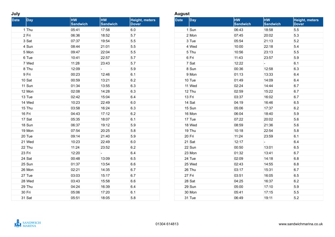#### **July**

| <b>Date</b> | Day      | <b>HW</b><br><b>Sandwich</b> | <b>HW</b><br><b>Sandwich</b> | <b>Height, meters</b><br><b>Dover</b> |
|-------------|----------|------------------------------|------------------------------|---------------------------------------|
|             | 1 Thu    | 05:41                        | 17:58                        | 6.0                                   |
|             | 2 Fri    | 06:36                        | 18:52                        | 5.7                                   |
|             | 3 Sat    | 07:37                        | 19:54                        | 5.5                                   |
|             | 4 Sun    | 08:44                        | 21:01                        | 5.5                                   |
|             | 5 Mon    | 09:47                        | 22:04                        | 5.5                                   |
|             | 6 Tue    | 10:41                        | 22:57                        | 5.7                                   |
|             | 7 Wed    | 11:28                        | 23:43                        | 5.7                                   |
|             | 8 Thu    | 12:09                        | -                            | 5.9                                   |
|             | 9 Fri    | 00:23                        | 12:46                        | 6.1                                   |
|             | 10 Sat   | 00:59                        | 13:21                        | 6.2                                   |
|             | 11 Sun   | 01:34                        | 13:55                        | 6.3                                   |
|             | 12 Mon   | 02:08                        | 14:28                        | 6.3                                   |
|             | 13 Tue   | 02:42                        | 15:04                        | 6.4                                   |
|             | 14 Wed   | 10:23                        | 22:49                        | 6.0                                   |
|             | 15 Thu   | 03:58                        | 16:24                        | 6.3                                   |
|             | 16 Fri   | 04:43                        | 17:12                        | 6.2                                   |
|             | 17 Sat   | 05:35                        | 18:07                        | 6.1                                   |
|             | 18 Sun   | 06:37                        | 19:12                        | 5.9                                   |
|             | 19 Mon   | 07:54                        | 20:25                        | 5.8                                   |
|             | 20 Tue   | 09:14                        | 21:40                        | 5.9                                   |
|             | 21 Wed   | 10:23                        | 22:49                        | 6.0                                   |
|             | 22 Thu   | 11:24                        | 23:52                        | 6.2                                   |
|             | 23 Fri   | 12:20                        | 4                            | 6.4                                   |
|             | 24 Sat   | 00:48                        | 13:09                        | 6.5                                   |
|             | 25 Sun   | 01:37                        | 13:54                        | 6.6                                   |
|             | 26 Mon   | 02:21                        | 14:35                        | 6.7                                   |
|             | 27 Tue   | 03:03                        | 15:17                        | 6.7                                   |
|             | 28 Wed   | 03:43                        | 15:58                        | 6.6                                   |
|             | $29$ Thu | 04:24                        | 16:39                        | 6.4                                   |
|             | 30 Fri   | 05:06                        | 17:20                        | 6.1                                   |
|             | 31 Sat   | 05:51                        | 18:05                        | 5.8                                   |

## **August**

| <b>Date</b> | <b>Day</b> | <b>HW</b><br><b>Sandwich</b> | <b>HW</b><br><b>Sandwich</b> | <b>Height, meters</b><br><b>Dover</b> |
|-------------|------------|------------------------------|------------------------------|---------------------------------------|
|             | 1 Sun      | 06:43                        | 18:58                        | 5.5                                   |
|             | 2 Mon      | 07:45                        | 20:02                        | 5.3                                   |
|             | 3 Tue      | 05:54                        | 21:13                        | 5.2                                   |
|             | 4 Wed      | 10:00                        | 22:18                        | 5.4                                   |
|             | 5 Thu      | 10:56                        | 23:13                        | 5.5                                   |
|             | 6 Fri      | 11:43                        | 23:57                        | 5.9                                   |
|             | 7 Sat      | 12:22                        |                              | 6.1                                   |
|             | 8 Sun      | 00:36                        | 12:58                        | 6.3                                   |
|             | 9 Mon      | 01:13                        | 13:33                        | 6.4                                   |
|             | 10 Tue     | 01:49                        | 14:09                        | 6.4                                   |
|             | 11 Wed     | 02:24                        | 14:44                        | 6.7                                   |
|             | $12$ Thu   | 02:59                        | 15:22                        | 6.7                                   |
|             | $13$ Fri   | 03:37                        | 16:02                        | 6.7                                   |
|             | 14 Sat     | 04:19                        | 16:46                        | 6.5                                   |
|             | 15 Sun     | 05:06                        | 17:37                        | 6.2                                   |
|             | 16 Mon     | 06:04                        | 18:40                        | 5.9                                   |
|             | $17$ Tue   | 07:22                        | 20:02                        | 5.6                                   |
|             | 18 Wed     | 08:59                        | 21:36                        | 5.6                                   |
|             | 19 Thu     | 10:18                        | 22:54                        | 5.8                                   |
| 20 Fri      |            | 11:24                        | 23:59                        | 6.1                                   |
|             | $21$ Sat   | 12:17                        |                              | 6.4                                   |
|             | 22 Sun     | 00:50                        | 13:01                        | 6.5                                   |
|             | 23 Mon     | 01:32                        | 13:41                        | 6.7                                   |
|             | 24 Tue     | 02:09                        | 14:18                        | 6.8                                   |
|             | 25 Wed     | 02:43                        | 14:55                        | 6.8                                   |
|             | 26 Thu     | 03:17                        | 15:31                        | 6.7                                   |
|             | $27$ Fri   | 03:51                        | 16:05                        | 6.5                                   |
|             | 28 Sat     | 04:25                        | 16:37                        | 6.2                                   |
|             | 29 Sun     | 05:00                        | 17:10                        | 5.9                                   |
|             | 30 Mon     | 05:41                        | 17:15                        | 5.5                                   |
|             | 31 Tue     | 06:49                        | 19:11                        | 5.2                                   |

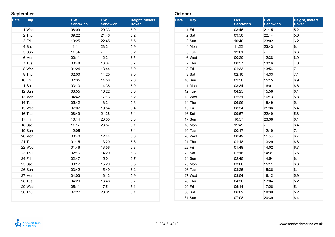# **September**

| <b>Date</b> | <b>Day</b> | <b>HW</b><br><b>Sandwich</b> | <b>HW</b><br><b>Sandwich</b> | <b>Height, meters</b><br><b>Dover</b> |
|-------------|------------|------------------------------|------------------------------|---------------------------------------|
|             | 1 Wed      | 08:09                        | 20:33                        | 5.9                                   |
|             | $2$ Thu    | 09:22                        | 21:46                        | 5.2                                   |
|             | 3 Fri      | 10:25                        | 22:45                        | 5.5                                   |
|             | 4 Sat      | 11:14                        | 23:31                        | 5.9                                   |
|             | 5 Sun      | 11:54                        | $\blacksquare$               | 6.2                                   |
|             | 6 Mon      | 00:11                        | 12:31                        | 6.5                                   |
|             | 7 Tue      | 00:48                        | 13:07                        | 6.7                                   |
|             | 8 Wed      | 01:24                        | 13:44                        | 6.9                                   |
|             | 9 Thu      | 02:00                        | 14:20                        | 7.0                                   |
|             | 10 Fri     | 02:35                        | 14:58                        | 7.0                                   |
|             | 11 Sat     | 03:13                        | 14:38                        | 6.9                                   |
|             | 12 Sun     | 03:55                        | 16:22                        | 6.6                                   |
|             | 13 Mon     | 04:42                        | 17:13                        | 6.2                                   |
|             | 14 Tue     | 05:42                        | 18:21                        | 5.8                                   |
|             | 15 Wed     | 07:07                        | 19:54                        | 5.4                                   |
|             | 16 Thu     | 08:49                        | 21:38                        | 5.4                                   |
|             | $17$ Fri   | 10:14                        | 23:00                        | 5.8                                   |
|             | 18 Sat     | 11:17                        | 23:57                        | 6.1                                   |
|             | 19 Sun     | 12:05                        | $\blacksquare$               | 6.4                                   |
|             | 20 Mon     | 00:40                        | 12:44                        | 6.6                                   |
|             | 21 Tue     | 01:15                        | 13:20                        | 6.8                                   |
|             | 22 Wed     | 01:46                        | 13:56                        | 6.8                                   |
|             | 23 Thu     | 02:16                        | 14:29                        | 6.8                                   |
|             | 24 Fri     | 02:47                        | 15:01                        | 6.7                                   |
|             | 25 Sat     | 03:17                        | 15:29                        | 6.5                                   |
|             | 26 Sun     | 03:42                        | 15:49                        | 6.2                                   |
|             | 27 Mon     | 04:03                        | 16:13                        | 5.9                                   |
|             | 28 Tue     | 04:29                        | 16:48                        | 5.7                                   |
|             | 29 Wed     | 05:11                        | 17:51                        | 5.1                                   |
|             | 30 Thu     | 07:27                        | 20:01                        | 5.1                                   |
|             |            |                              |                              |                                       |

# **October**

| <b>Date</b> | <b>Day</b> | <b>HW</b><br><b>Sandwich</b> | <b>HW</b><br><b>Sandwich</b> | Height, meters<br><b>Dover</b> |
|-------------|------------|------------------------------|------------------------------|--------------------------------|
|             | 1 Fri      | 08:46                        | 21:15                        | 5.2                            |
|             | 2 Sat      | 09:50                        | 22:14                        | 5.6                            |
|             | 3 Sun      | 10:40                        | 23:02                        | 6.2                            |
|             | 4 Mon      | 11:22                        | 23:43                        | 6.4                            |
|             | 5 Tue      | 12:01                        |                              | 6.6                            |
|             | 6 Wed      | 00:20                        | 12:38                        | 6.9                            |
|             | 7 Thu      | 00:57                        | 13:16                        | 7.0                            |
|             | 8 Fri      | 01:33                        | 13:54                        | 7.1                            |
|             | 9 Sat      | 02:10                        | 14:33                        | 7.1                            |
|             | 10 Sun     | 02:50                        | 15:15                        | 6.9                            |
|             | 11 Mon     | 03:34                        | 16:01                        | 6.6                            |
|             | 12 Tue     | 04:25                        | 15:58                        | 6.1                            |
|             | 13 Wed     | 05:31                        | 16:13                        | 5.8                            |
|             | 14 Thu     | 06:56                        | 18:49                        | 5.4                            |
|             | 15 Fri     | 08:34                        | 21:36                        | 5.4                            |
|             | 16 Sat     | 09:57                        | 22:49                        | 5.8                            |
|             | 17 Sun     | 10:57                        | 23:38                        | 6.1                            |
|             | 18 Mon     | 11:41                        | -                            | 6.4                            |
|             | 19 Tue     | 00:17                        | 12:19                        | 7.1                            |
|             | 20 Wed     | 00:49                        | 11:55                        | 6.7                            |
|             | 21 Thu     | 01:18                        | 13:29                        | 6.8                            |
|             | 22 Fri     | 01:48                        | 14:02                        | 6.7                            |
|             | 23 Sat     | 02:18                        | 14:31                        | 6.5                            |
|             | 24 Sun     | 02:45                        | 14:54                        | 6.4                            |
|             | 25 Mon     | 03:06                        | 15:11                        | 6.3                            |
|             | 26 Tue     | 03:25                        | 15:36                        | 6.1                            |
|             | 27 Wed     | 03:54                        | 16:12                        | 5.9                            |
|             | 28 Thu     | 04:36                        | 17:04                        | 5.2                            |
|             | 29 Fri     | 05:14                        | 17:26                        | 5.1                            |
|             | 30 Sat     | 06:02                        | 18:39                        | 5.2                            |
|             | 31 Sun     | 07:08                        | 20:39                        | 6.4                            |